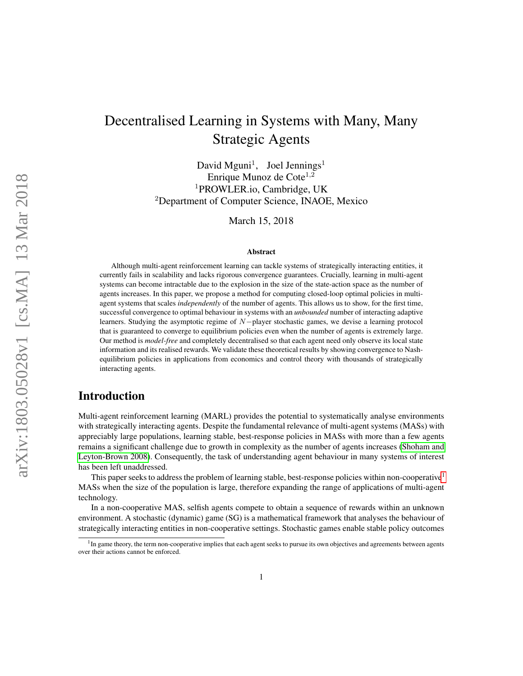# Decentralised Learning in Systems with Many, Many Strategic Agents

David Mguni<sup>1</sup>, Joel Jennings<sup>1</sup> Enrique Munoz de Cote $^{1,2}$ <sup>1</sup>PROWLER.io, Cambridge, UK <sup>2</sup>Department of Computer Science, INAOE, Mexico

March 15, 2018

#### Abstract

Although multi-agent reinforcement learning can tackle systems of strategically interacting entities, it currently fails in scalability and lacks rigorous convergence guarantees. Crucially, learning in multi-agent systems can become intractable due to the explosion in the size of the state-action space as the number of agents increases. In this paper, we propose a method for computing closed-loop optimal policies in multiagent systems that scales *independently* of the number of agents. This allows us to show, for the first time, successful convergence to optimal behaviour in systems with an *unbounded* number of interacting adaptive learners. Studying the asymptotic regime of N−player stochastic games, we devise a learning protocol that is guaranteed to converge to equilibrium policies even when the number of agents is extremely large. Our method is *model-free* and completely decentralised so that each agent need only observe its local state information and its realised rewards. We validate these theoretical results by showing convergence to Nashequilibrium policies in applications from economics and control theory with thousands of strategically interacting agents.

# Introduction

Multi-agent reinforcement learning (MARL) provides the potential to systematically analyse environments with strategically interacting agents. Despite the fundamental relevance of multi-agent systems (MASs) with appreciably large populations, learning stable, best-response policies in MASs with more than a few agents remains a significant challenge due to growth in complexity as the number of agents increases [\(Shoham and](#page-13-0) [Leyton-Brown 2008\)](#page-13-0). Consequently, the task of understanding agent behaviour in many systems of interest has been left unaddressed.

This paper seeks to address the problem of learning stable, best-response policies within non-cooperative<sup>[1](#page-0-0)</sup> MASs when the size of the population is large, therefore expanding the range of applications of multi-agent technology.

In a non-cooperative MAS, selfish agents compete to obtain a sequence of rewards within an unknown environment. A stochastic (dynamic) game (SG) is a mathematical framework that analyses the behaviour of strategically interacting entities in non-cooperative settings. Stochastic games enable stable policy outcomes

<span id="page-0-0"></span><sup>&</sup>lt;sup>1</sup>In game theory, the term non-cooperative implies that each agent seeks to pursue its own objectives and agreements between agents over their actions cannot be enforced.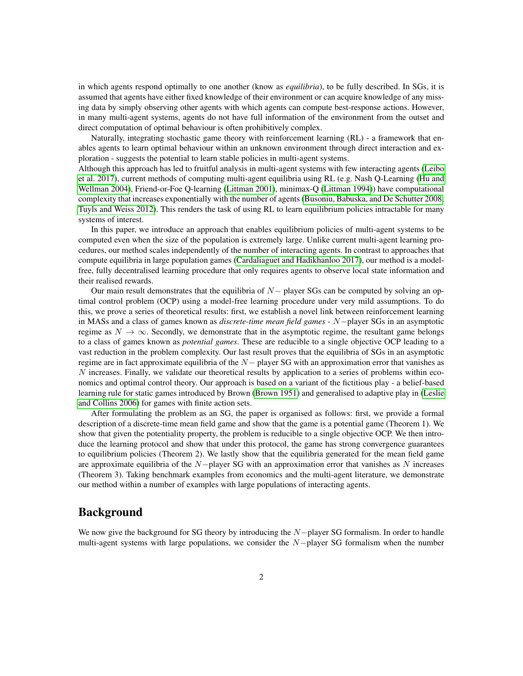in which agents respond optimally to one another (know as *equilibria*), to be fully described. In SGs, it is assumed that agents have either fixed knowledge of their environment or can acquire knowledge of any missing data by simply observing other agents with which agents can compute best-response actions. However, in many multi-agent systems, agents do not have full information of the environment from the outset and direct computation of optimal behaviour is often prohibitively complex.

Naturally, integrating stochastic game theory with reinforcement learning (RL) - a framework that enables agents to learn optimal behaviour within an unknown environment through direct interaction and exploration - suggests the potential to learn stable policies in multi-agent systems.

Although this approach has led to fruitful analysis in multi-agent systems with few interacting agents [\(Leibo](#page-13-1) [et al. 2017\)](#page-13-1), current methods of computing multi-agent equilibria using RL (e.g. Nash Q-Learning [\(Hu and](#page-12-0) [Wellman 2004\)](#page-12-0), Friend-or-Foe Q-learning [\(Littman 2001\)](#page-13-2), minimax-Q [\(Littman 1994\)](#page-13-3)) have computational complexity that increases exponentially with the number of agents [\(Busoniu, Babuska, and De Schutter 2008;](#page-12-1) [Tuyls and Weiss 2012\)](#page-13-4). This renders the task of using RL to learn equilibrium policies intractable for many systems of interest.

In this paper, we introduce an approach that enables equilibrium policies of multi-agent systems to be computed even when the size of the population is extremely large. Unlike current multi-agent learning procedures, our method scales independently of the number of interacting agents. In contrast to approaches that compute equilibria in large population games [\(Cardaliaguet and Hadikhanloo 2017\)](#page-12-2), our method is a modelfree, fully decentralised learning procedure that only requires agents to observe local state information and their realised rewards.

Our main result demonstrates that the equilibria of  $N-$  player SGs can be computed by solving an optimal control problem (OCP) using a model-free learning procedure under very mild assumptions. To do this, we prove a series of theoretical results: first, we establish a novel link between reinforcement learning in MASs and a class of games known as *discrete-time mean field games* - N−player SGs in an asymptotic regime as  $N \to \infty$ . Secondly, we demonstrate that in the asymptotic regime, the resultant game belongs to a class of games known as *potential games*. These are reducible to a single objective OCP leading to a vast reduction in the problem complexity. Our last result proves that the equilibria of SGs in an asymptotic regime are in fact approximate equilibria of the  $N-$  player SG with an approximation error that vanishes as N increases. Finally, we validate our theoretical results by application to a series of problems within economics and optimal control theory. Our approach is based on a variant of the fictitious play - a belief-based learning rule for static games introduced by Brown [\(Brown 1951\)](#page-12-3) and generalised to adaptive play in [\(Leslie](#page-13-5) [and Collins 2006\)](#page-13-5) for games with finite action sets.

After formulating the problem as an SG, the paper is organised as follows: first, we provide a formal description of a discrete-time mean field game and show that the game is a potential game (Theorem 1). We show that given the potentiality property, the problem is reducible to a single objective OCP. We then introduce the learning protocol and show that under this protocol, the game has strong convergence guarantees to equilibrium policies (Theorem 2). We lastly show that the equilibria generated for the mean field game are approximate equilibria of the  $N-p$  layer SG with an approximation error that vanishes as N increases (Theorem 3). Taking benchmark examples from economics and the multi-agent literature, we demonstrate our method within a number of examples with large populations of interacting agents.

# Background

We now give the background for SG theory by introducing the N−player SG formalism. In order to handle multi-agent systems with large populations, we consider the  $N-p$ layer SG formalism when the number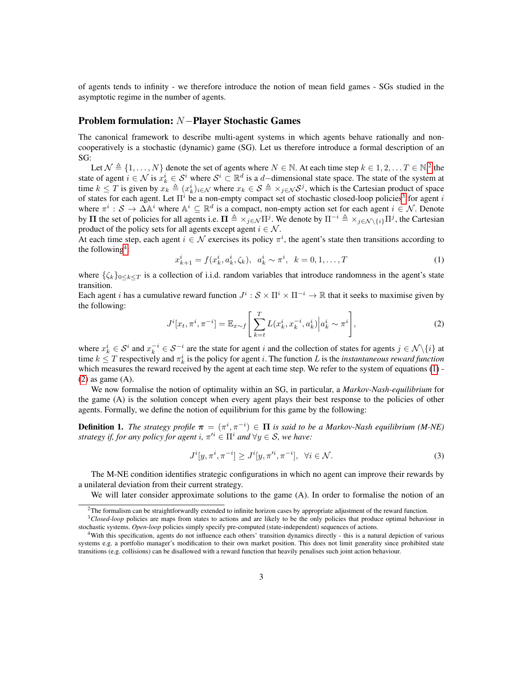of agents tends to infinity - we therefore introduce the notion of mean field games - SGs studied in the asymptotic regime in the number of agents.

### Problem formulation: N−Player Stochastic Games

The canonical framework to describe multi-agent systems in which agents behave rationally and noncooperatively is a stochastic (dynamic) game (SG). Let us therefore introduce a formal description of an SG:

Let  $\mathcal{N} \triangleq \{1, \ldots, N\}$  denote the set of agents where  $N \in \mathbb{N}$ . At each time step  $k \in 1, 2, \ldots T \in \mathbb{N}$  $k \in 1, 2, \ldots T \in \mathbb{N}$  $k \in 1, 2, \ldots T \in \mathbb{N}$ , the state of agent  $i \in \mathcal{N}$  is  $x_k^i \in \mathcal{S}^i$  where  $\mathcal{S}^i \subset \mathbb{R}^d$  is a d-dimensional state space. The state of the system at time  $k \leq T$  is given by  $x_k \triangleq (x_k^i)_{i \in \mathcal{N}}$  where  $x_k \in \mathcal{S} \triangleq \times_{j \in \mathcal{N}} \mathcal{S}^j$ , which is the Cartesian product of space of states for each agent. Let  $\Pi^i$  be a non-empty compact set of stochastic closed-loop policies<sup>[3](#page-2-1)</sup> for agent i where  $\pi^i : S \to \Delta \mathbb{A}^i$  where  $\mathbb{A}^i \subseteq \mathbb{R}^d$  is a compact, non-empty action set for each agent  $i \in \mathcal{N}$ . Denote by  $\Pi$  the set of policies for all agents i.e.  $\Pi \triangleq \times_{j \in \mathcal{N}} \Pi^j$ . We denote by  $\Pi^{-i} \triangleq \times_{j \in \mathcal{N} \backslash \{i\}} \Pi^j$ , the Cartesian product of the policy sets for all agents except agent  $i \in \mathcal{N}$ .

At each time step, each agent  $i \in \mathcal{N}$  exercises its policy  $\pi^i$ , the agent's state then transitions according to the following<sup>[4](#page-2-2)</sup>:

<span id="page-2-3"></span>
$$
x_{k+1}^i = f(x_k^i, a_k^i, \zeta_k), \ \ a_k^i \sim \pi^i, \ \ k = 0, 1, \dots, T
$$
 (1)

where  $\{\zeta_k\}_{0\leq k\leq T}$  is a collection of i.i.d. random variables that introduce randomness in the agent's state transition.

Each agent *i* has a cumulative reward function  $J^i : \mathcal{S} \times \Pi^i \times \Pi^{-i} \to \mathbb{R}$  that it seeks to maximise given by the following:

<span id="page-2-4"></span>
$$
J^{i}[x_{t}, \pi^{i}, \pi^{-i}] = \mathbb{E}_{x \sim f} \left[ \sum_{k=t}^{T} L(x_{k}^{i}, x_{k}^{-i}, a_{k}^{i}) \Big| a_{k}^{i} \sim \pi^{i} \right],
$$
 (2)

where  $x_k^i \in S^i$  and  $x_k^{-i} \in S^{-i}$  are the state for agent i and the collection of states for agents  $j \in \mathcal{N} \setminus \{i\}$  at time  $k \leq T$  respectively and  $\pi_k^i$  is the policy for agent *i*. The function *L* is the *instantaneous reward function* which measures the reward received by the agent at each time step. We refer to the system of equations [\(1\)](#page-2-3) - $(2)$  as game  $(A)$ .

We now formalise the notion of optimality within an SG, in particular, a *Markov-Nash-equilibrium* for the game (A) is the solution concept when every agent plays their best response to the policies of other agents. Formally, we define the notion of equilibrium for this game by the following:

**Definition 1.** The strategy profile  $\pi = (\pi^i, \pi^{-i}) \in \Pi$  is said to be a Markov-Nash equilibrium (M-NE) *strategy if, for any policy for agent i,*  $\pi'^i \in \Pi^i$  *and*  $\forall y \in S$ *, we have:* 

<span id="page-2-5"></span>
$$
J^{i}[y,\pi^{i},\pi^{-i}] \ge J^{i}[y,\pi'^{i},\pi^{-i}], \ \ \forall i \in \mathcal{N}.
$$
 (3)

The M-NE condition identifies strategic configurations in which no agent can improve their rewards by a unilateral deviation from their current strategy.

We will later consider approximate solutions to the game (A). In order to formalise the notion of an

<span id="page-2-1"></span><span id="page-2-0"></span><sup>&</sup>lt;sup>2</sup>The formalism can be straightforwardly extended to infinite horizon cases by appropriate adjustment of the reward function.

<sup>&</sup>lt;sup>3</sup>Closed-loop policies are maps from states to actions and are likely to be the only policies that produce optimal behaviour in stochastic systems. *Open-loop* policies simply specify pre-computed (state-independent) sequences of actions.

<span id="page-2-2"></span><sup>4</sup>With this specification, agents do not influence each others' transition dynamics directly - this is a natural depiction of various systems e.g. a portfolio manager's modification to their own market position. This does not limit generality since prohibited state transitions (e.g. collisions) can be disallowed with a reward function that heavily penalises such joint action behaviour.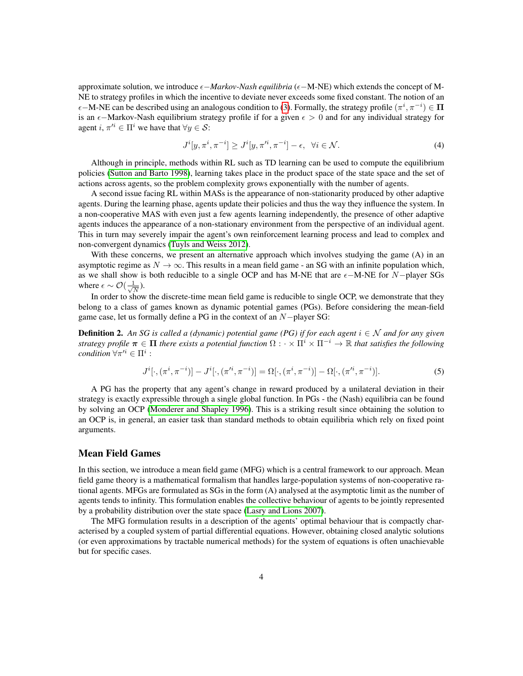approximate solution, we introduce  $\epsilon$ *-Markov-Nash equilibria* ( $\epsilon$ -M-NE) which extends the concept of M-NE to strategy profiles in which the incentive to deviate never exceeds some fixed constant. The notion of an  $\epsilon$ –M-NE can be described using an analogous condition to [\(3\)](#page-2-5). Formally, the strategy profile  $(\pi^i, \pi^{-i}) \in \Pi$ is an  $\epsilon$ —Markov-Nash equilibrium strategy profile if for a given  $\epsilon > 0$  and for any individual strategy for agent  $i, \pi'^i \in \Pi^i$  we have that  $\forall y \in \mathcal{S}$ :

$$
J^{i}[y,\pi^{i},\pi^{-i}] \ge J^{i}[y,\pi'^{i},\pi^{-i}] - \epsilon, \quad \forall i \in \mathcal{N}.
$$
 (4)

Although in principle, methods within RL such as TD learning can be used to compute the equilibrium policies [\(Sutton and Barto 1998\)](#page-13-6), learning takes place in the product space of the state space and the set of actions across agents, so the problem complexity grows exponentially with the number of agents.

A second issue facing RL within MASs is the appearance of non-stationarity produced by other adaptive agents. During the learning phase, agents update their policies and thus the way they influence the system. In a non-cooperative MAS with even just a few agents learning independently, the presence of other adaptive agents induces the appearance of a non-stationary environment from the perspective of an individual agent. This in turn may severely impair the agent's own reinforcement learning process and lead to complex and non-convergent dynamics [\(Tuyls and Weiss 2012\)](#page-13-4).

With these concerns, we present an alternative approach which involves studying the game (A) in an asymptotic regime as  $N \to \infty$ . This results in a mean field game - an SG with an infinite population which, as we shall show is both reducible to a single OCP and has M-NE that are  $\epsilon$ -M-NE for N−player SGs where  $\epsilon \sim \mathcal{O}(\frac{1}{\sqrt{2}})$  $\frac{1}{\overline{N}}$ ).

In order to show the discrete-time mean field game is reducible to single OCP, we demonstrate that they belong to a class of games known as dynamic potential games (PGs). Before considering the mean-field game case, let us formally define a PG in the context of an N−player SG:

**Definition 2.** An SG is called a (dynamic) potential game (PG) if for each agent  $i \in \mathcal{N}$  and for any given *strategy profile*  $\pi \in \Pi$  *there exists a potential function*  $\Omega : \cdot \times \Pi^i \times \Pi^{-i} \to \mathbb{R}$  *that satisfies the following*  $condition \,\forall \pi'^i \in \Pi^i$ :

$$
J^{i}[\cdot,(\pi^{i},\pi^{-i})] - J^{i}[\cdot,(\pi'^{i},\pi^{-i})] = \Omega[\cdot,(\pi^{i},\pi^{-i})] - \Omega[\cdot,(\pi'^{i},\pi^{-i})].
$$
\n(5)

A PG has the property that any agent's change in reward produced by a unilateral deviation in their strategy is exactly expressible through a single global function. In PGs - the (Nash) equilibria can be found by solving an OCP [\(Monderer and Shapley 1996\)](#page-13-7). This is a striking result since obtaining the solution to an OCP is, in general, an easier task than standard methods to obtain equilibria which rely on fixed point arguments.

### Mean Field Games

In this section, we introduce a mean field game (MFG) which is a central framework to our approach. Mean field game theory is a mathematical formalism that handles large-population systems of non-cooperative rational agents. MFGs are formulated as SGs in the form (A) analysed at the asymptotic limit as the number of agents tends to infinity. This formulation enables the collective behaviour of agents to be jointly represented by a probability distribution over the state space [\(Lasry and Lions 2007\)](#page-12-4).

The MFG formulation results in a description of the agents' optimal behaviour that is compactly characterised by a coupled system of partial differential equations. However, obtaining closed analytic solutions (or even approximations by tractable numerical methods) for the system of equations is often unachievable but for specific cases.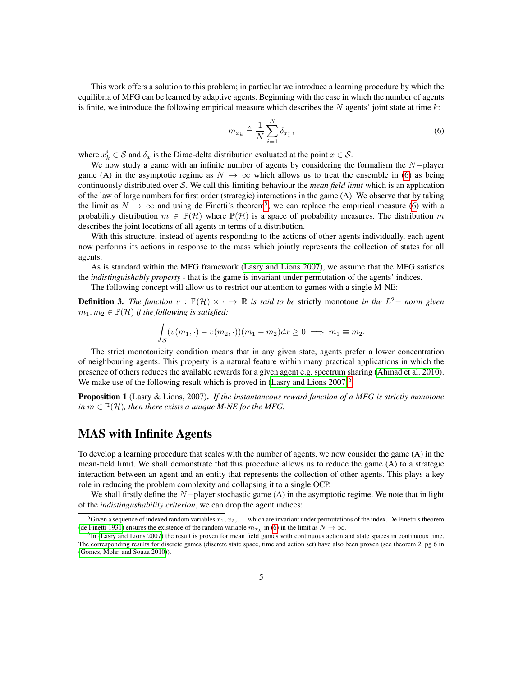This work offers a solution to this problem; in particular we introduce a learning procedure by which the equilibria of MFG can be learned by adaptive agents. Beginning with the case in which the number of agents is finite, we introduce the following empirical measure which describes the  $N$  agents' joint state at time  $k$ :

<span id="page-4-0"></span>
$$
m_{x_k} \triangleq \frac{1}{N} \sum_{i=1}^{N} \delta_{x_k^i},\tag{6}
$$

where  $x_k^i \in \mathcal{S}$  and  $\delta_x$  is the Dirac-delta distribution evaluated at the point  $x \in \mathcal{S}$ .

We now study a game with an infinite number of agents by considering the formalism the  $N-p$ layer game (A) in the asymptotic regime as  $N \to \infty$  which allows us to treat the ensemble in [\(6\)](#page-4-0) as being continuously distributed over S. We call this limiting behaviour the *mean field limit* which is an application of the law of large numbers for first order (strategic) interactions in the game (A). We observe that by taking the limit as  $N \to \infty$  and using de Finetti's theorem<sup>[5](#page-4-1)</sup>, we can replace the empirical measure [\(6\)](#page-4-0) with a probability distribution  $m \in \mathbb{P}(\mathcal{H})$  where  $\mathbb{P}(\mathcal{H})$  is a space of probability measures. The distribution m describes the joint locations of all agents in terms of a distribution.

With this structure, instead of agents responding to the actions of other agents individually, each agent now performs its actions in response to the mass which jointly represents the collection of states for all agents.

As is standard within the MFG framework [\(Lasry and Lions 2007\)](#page-12-4), we assume that the MFG satisfies the *indistinguishably property* - that is the game is invariant under permutation of the agents' indices.

The following concept will allow us to restrict our attention to games with a single M-NE:

**Definition 3.** The function  $v$  :  $\mathbb{P}(\mathcal{H}) \times \cdot \to \mathbb{R}$  is said to be strictly monotone in the  $L^2$ - norm given  $m_1, m_2 \in \mathbb{P}(\mathcal{H})$  *if the following is satisfied:* 

$$
\int_{\mathcal{S}} (v(m_1, \cdot) - v(m_2, \cdot))(m_1 - m_2) dx \ge 0 \implies m_1 \equiv m_2.
$$

The strict monotonicity condition means that in any given state, agents prefer a lower concentration of neighbouring agents. This property is a natural feature within many practical applications in which the presence of others reduces the available rewards for a given agent e.g. spectrum sharing [\(Ahmad et al. 2010\)](#page-12-5). We make use of the following result which is proved in (Lasry and Lions  $2007$ )<sup>[6](#page-4-2)</sup>:

Proposition 1 (Lasry & Lions, 2007). *If the instantaneous reward function of a MFG is strictly monotone in*  $m \in \mathbb{P}(\mathcal{H})$ *, then there exists a unique M-NE for the MFG.* 

# MAS with Infinite Agents

To develop a learning procedure that scales with the number of agents, we now consider the game (A) in the mean-field limit. We shall demonstrate that this procedure allows us to reduce the game (A) to a strategic interaction between an agent and an entity that represents the collection of other agents. This plays a key role in reducing the problem complexity and collapsing it to a single OCP.

We shall firstly define the N−player stochastic game (A) in the asymptotic regime. We note that in light of the *indistingushability criterion*, we can drop the agent indices:

<span id="page-4-1"></span><sup>&</sup>lt;sup>5</sup>Given a sequence of indexed random variables  $x_1, x_2, \ldots$  which are invariant under permutations of the index, De Finetti's theorem [\(de Finetti 1931\)](#page-12-6) ensures the existence of the random variable  $m_{x_k}$  in [\(6\)](#page-4-0) in the limit as  $N \to \infty$ .

<span id="page-4-2"></span><sup>&</sup>lt;sup>6</sup>In [\(Lasry and Lions 2007\)](#page-12-4) the result is proven for mean field games with continuous action and state spaces in continuous time. The corresponding results for discrete games (discrete state space, time and action set) have also been proven (see theorem 2, pg 6 in [\(Gomes, Mohr, and Souza 2010\)](#page-12-7)).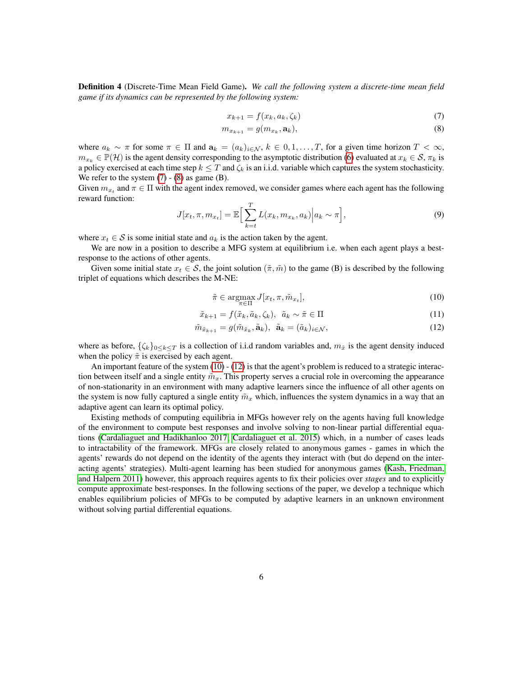Definition 4 (Discrete-Time Mean Field Game). *We call the following system a discrete-time mean field game if its dynamics can be represented by the following system:*

<span id="page-5-1"></span><span id="page-5-0"></span>
$$
x_{k+1} = f(x_k, a_k, \zeta_k) \tag{7}
$$

$$
m_{x_{k+1}} = g(m_{x_k}, \mathbf{a}_k),\tag{8}
$$

where  $a_k \sim \pi$  for some  $\pi \in \Pi$  and  $a_k = (a_k)_{i \in \mathcal{N}}$ ,  $k \in [0, 1, \ldots, T]$ , for a given time horizon  $T < \infty$ ,  $m_{x_k} \in \mathbb{P}(\mathcal{H})$  is the agent density corresponding to the asymptotic distribution [\(6\)](#page-4-0) evaluated at  $x_k \in \mathcal{S}, \pi_k$  is a policy exercised at each time step  $k \leq T$  and  $\zeta_k$  is an i.i.d. variable which captures the system stochasticity. We refer to the system  $(7) - (8)$  $(7) - (8)$  $(7) - (8)$  as game  $(B)$ .

Given  $m_{x_t}$  and  $\pi \in \Pi$  with the agent index removed, we consider games where each agent has the following reward function:

$$
J[x_t, \pi, m_{x_t}] = \mathbb{E}\Big[\sum_{k=t}^{T} L(x_k, m_{x_k}, a_k)\Big| a_k \sim \pi\Big],\tag{9}
$$

where  $x_t \in S$  is some initial state and  $a_k$  is the action taken by the agent.

We are now in a position to describe a MFG system at equilibrium i.e. when each agent plays a bestresponse to the actions of other agents.

Given some initial state  $x_t \in S$ , the joint solution  $(\tilde{\pi}, \tilde{m})$  to the game (B) is described by the following triplet of equations which describes the M-NE:

<span id="page-5-3"></span><span id="page-5-2"></span>
$$
\tilde{\pi} \in \underset{\pi \in \Pi}{\operatorname{argmax}} J[x_t, \pi, \tilde{m}_{x_t}],\tag{10}
$$

$$
\tilde{x}_{k+1} = f(\tilde{x}_k, \tilde{a}_k, \zeta_k), \ \tilde{a}_k \sim \tilde{\pi} \in \Pi
$$
\n(11)

$$
\tilde{m}_{\tilde{x}_{k+1}} = g(\tilde{m}_{\tilde{x}_k}, \tilde{\mathbf{a}}_k), \ \tilde{\mathbf{a}}_k = (\tilde{a}_k)_{i \in \mathcal{N}}, \tag{12}
$$

where as before,  $\{\zeta_k\}_{0\leq k\leq T}$  is a collection of i.i.d random variables and,  $m_{\tilde{x}}$  is the agent density induced when the policy  $\tilde{\pi}$  is exercised by each agent.

An important feature of the system [\(10\)](#page-5-2) - [\(12\)](#page-5-3) is that the agent's problem is reduced to a strategic interaction between itself and a single entity  $\tilde{m}_x$ . This property serves a crucial role in overcoming the appearance of non-stationarity in an environment with many adaptive learners since the influence of all other agents on the system is now fully captured a single entity  $\tilde{m}_x$  which, influences the system dynamics in a way that an adaptive agent can learn its optimal policy.

Existing methods of computing equilibria in MFGs however rely on the agents having full knowledge of the environment to compute best responses and involve solving to non-linear partial differential equations [\(Cardaliaguet and Hadikhanloo 2017;](#page-12-2) [Cardaliaguet et al. 2015\)](#page-12-8) which, in a number of cases leads to intractability of the framework. MFGs are closely related to anonymous games - games in which the agents' rewards do not depend on the identity of the agents they interact with (but do depend on the interacting agents' strategies). Multi-agent learning has been studied for anonymous games [\(Kash, Friedman,](#page-12-9) [and Halpern 2011\)](#page-12-9) however, this approach requires agents to fix their policies over *stages* and to explicitly compute approximate best-responses. In the following sections of the paper, we develop a technique which enables equilibrium policies of MFGs to be computed by adaptive learners in an unknown environment without solving partial differential equations.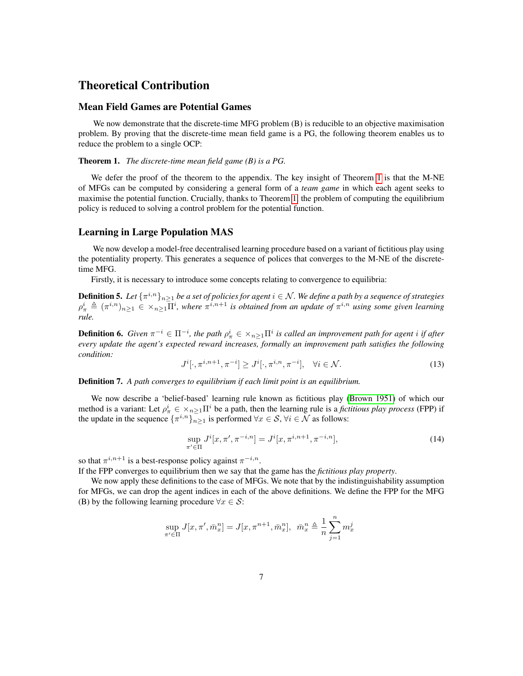# Theoretical Contribution

### Mean Field Games are Potential Games

We now demonstrate that the discrete-time MFG problem (B) is reducible to an objective maximisation problem. By proving that the discrete-time mean field game is a PG, the following theorem enables us to reduce the problem to a single OCP:

#### <span id="page-6-0"></span>Theorem 1. *The discrete-time mean field game (B) is a PG.*

We defer the proof of the theorem to the appendix. The key insight of Theorem [1](#page-6-0) is that the M-NE of MFGs can be computed by considering a general form of a *team game* in which each agent seeks to maximise the potential function. Crucially, thanks to Theorem [1,](#page-6-0) the problem of computing the equilibrium policy is reduced to solving a control problem for the potential function.

### Learning in Large Population MAS

We now develop a model-free decentralised learning procedure based on a variant of fictitious play using the potentiality property. This generates a sequence of polices that converges to the M-NE of the discretetime MFG.

Firstly, it is necessary to introduce some concepts relating to convergence to equilibria:

**Definition 5.** Let  $\{\pi^{i,n}\}_{n\geq 1}$  be a set of policies for agent  $i\in\mathcal{N}$ . We define a path by a sequence of strategies  $\rho^i_\pi \triangleq (\pi^{i,n})_{n\geq 1} \in \times_{n\geq 1} \overline{\Pi}^i$ , where  $\pi^{i,n+1}$  is obtained from an update of  $\pi^{i,n}$  using some given learning *rule.*

**Definition 6.** Given  $\pi^{-i} \in \Pi^{-i}$ , the path  $\rho^i_\pi \in \times_{n\geq 1} \Pi^i$  is called an improvement path for agent i if after *every update the agent's expected reward increases, formally an improvement path satisfies the following condition:*

$$
J^{i}[\cdot, \pi^{i,n+1}, \pi^{-i}] \ge J^{i}[\cdot, \pi^{i,n}, \pi^{-i}], \quad \forall i \in \mathcal{N}.
$$
 (13)

Definition 7. *A path converges to equilibrium if each limit point is an equilibrium.*

We now describe a 'belief-based' learning rule known as fictitious play [\(Brown 1951\)](#page-12-3) of which our method is a variant: Let  $\rho^i_\pi \in X_{n\geq 1} \Pi^i$  be a path, then the learning rule is a *fictitious play process* (FPP) if the update in the sequence  $\{\pi^{i,n}\}_{n\geq 1}$  is performed  $\forall x \in S, \forall i \in \mathcal{N}$  as follows:

$$
\sup_{\pi' \in \Pi} J^i[x, \pi', \pi^{-i,n}] = J^i[x, \pi^{i,n+1}, \pi^{-i,n}], \tag{14}
$$

so that  $\pi^{i,n+1}$  is a best-response policy against  $\pi^{-i,n}$ .

If the FPP converges to equilibrium then we say that the game has the *fictitious play property*.

We now apply these definitions to the case of MFGs. We note that by the indistinguishability assumption for MFGs, we can drop the agent indices in each of the above definitions. We define the FPP for the MFG (B) by the following learning procedure  $\forall x \in S$ :

$$
\sup_{\pi' \in \Pi} J[x, \pi', \bar{m}^n_x] = J[x, \pi^{n+1}, \bar{m}^n_x], \ \ \bar{m}^n_x \triangleq \frac{1}{n} \sum_{j=1}^n m^j_x
$$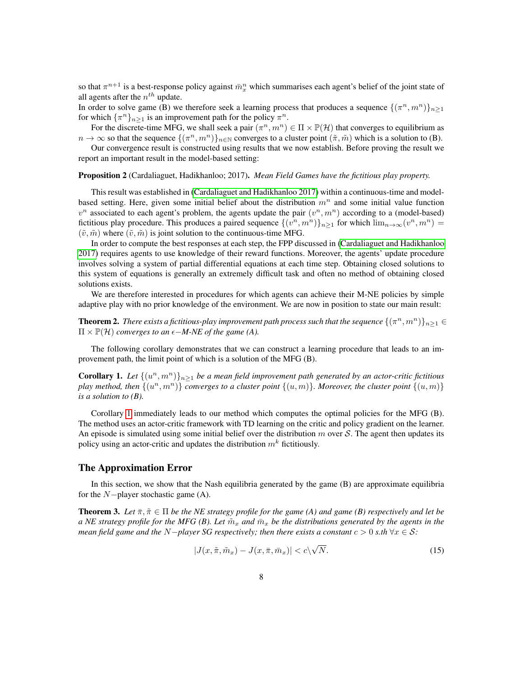so that  $\pi^{n+1}$  is a best-response policy against  $\bar{m}_x^n$  which summarises each agent's belief of the joint state of all agents after the  $n^{th}$  update.

In order to solve game (B) we therefore seek a learning process that produces a sequence  $\{(\pi^n, m^n)\}_{n\geq 1}$ for which  $\{\pi^n\}_{n\geq 1}$  is an improvement path for the policy  $\pi^n$ .

For the discrete-time MFG, we shall seek a pair  $(\pi^n, m^n) \in \Pi \times \mathbb{P}(\mathcal{H})$  that converges to equilibrium as  $n \to \infty$  so that the sequence  $\{(\pi^n, m^n)\}_{n \in \mathbb{N}}$  converges to a cluster point  $(\tilde{\pi}, \tilde{m})$  which is a solution to (B).

Our convergence result is constructed using results that we now establish. Before proving the result we report an important result in the model-based setting:

Proposition 2 (Cardaliaguet, Hadikhanloo; 2017). *Mean Field Games have the fictitious play property.*

This result was established in [\(Cardaliaguet and Hadikhanloo 2017\)](#page-12-2) within a continuous-time and modelbased setting. Here, given some initial belief about the distribution  $m<sup>n</sup>$  and some initial value function  $v^n$  associated to each agent's problem, the agents update the pair  $(v^n, m^n)$  according to a (model-based) fictitious play procedure. This produces a paired sequence  $\{(v^n, m^n)\}_{n\geq 1}$  for which  $\lim_{n\to\infty}(v^n, m^n)$  $(\tilde{v}, \tilde{m})$  where  $(\tilde{v}, \tilde{m})$  is joint solution to the continuous-time MFG.

In order to compute the best responses at each step, the FPP discussed in [\(Cardaliaguet and Hadikhanloo](#page-12-2) [2017\)](#page-12-2) requires agents to use knowledge of their reward functions. Moreover, the agents' update procedure involves solving a system of partial differential equations at each time step. Obtaining closed solutions to this system of equations is generally an extremely difficult task and often no method of obtaining closed solutions exists.

We are therefore interested in procedures for which agents can achieve their M-NE policies by simple adaptive play with no prior knowledge of the environment. We are now in position to state our main result:

**Theorem 2.** There exists a fictitious-play improvement path process such that the sequence  $\{(\pi^n,m^n)\}_{n\geq 1}$   $\in$  $\Pi \times \mathbb{P}(\mathcal{H})$  *converges to an*  $\epsilon$ *-M-NE of the game (A).* 

The following corollary demonstrates that we can construct a learning procedure that leads to an improvement path, the limit point of which is a solution of the MFG (B).

<span id="page-7-0"></span>**Corollary 1.** Let  $\{(u^n, m^n)\}_{n\geq 1}$  be a mean field improvement path generated by an actor-critic fictitious play method, then  $\{(u^n, m^n)\}$  converges to a cluster point  $\{(u, m)\}$ . Moreover, the cluster point  $\{(u, m)\}$ *is a solution to (B).*

Corollary [1](#page-7-0) immediately leads to our method which computes the optimal policies for the MFG (B). The method uses an actor-critic framework with TD learning on the critic and policy gradient on the learner. An episode is simulated using some initial belief over the distribution  $m$  over S. The agent then updates its policy using an actor-critic and updates the distribution  $m<sup>k</sup>$  fictitiously.

#### The Approximation Error

In this section, we show that the Nash equilibria generated by the game (B) are approximate equilibria for the  $N-p$  layer stochastic game (A).

<span id="page-7-1"></span>**Theorem 3.** Let  $\bar{\pi}, \tilde{\pi} \in \Pi$  be the NE strategy profile for the game (A) and game (B) respectively and let be *a NE strategy profile for the MFG (B). Let*  $\tilde{m}_x$  *and*  $\tilde{m}_x$  *be the distributions generated by the agents in the mean field game and the*  $N$ *-player SG respectively; then there exists a constant*  $c > 0$  *s.th*  $\forall x \in S$ *:* 

$$
|J(x,\tilde{\pi},\tilde{m}_x) - J(x,\bar{\pi},\bar{m}_x)| < c\sqrt{N}.\tag{15}
$$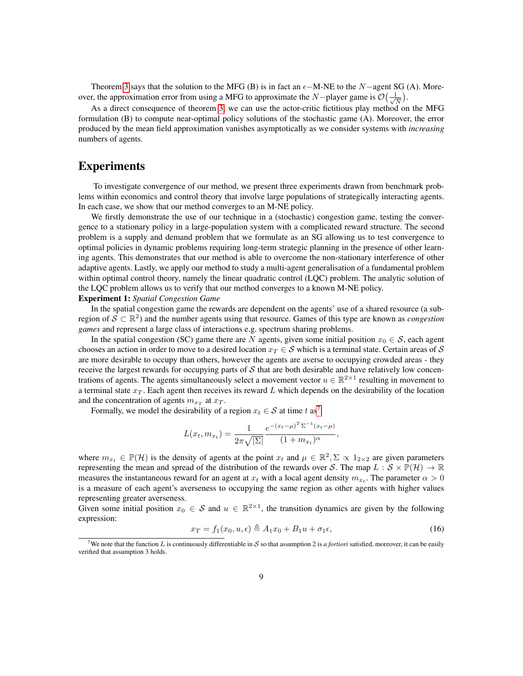Theorem [3](#page-7-1) says that the solution to the MFG (B) is in fact an  $\epsilon$ -M-NE to the N-agent SG (A). Moreover, the approximation error from using a MFG to approximate the N-player game is  $\mathcal{O}(\frac{1}{\sqrt{2}})$  $\frac{1}{\overline{N}}$ .

As a direct consequence of theorem [3,](#page-7-1) we can use the actor-critic fictitious play method on the MFG formulation (B) to compute near-optimal policy solutions of the stochastic game (A). Moreover, the error produced by the mean field approximation vanishes asymptotically as we consider systems with *increasing* numbers of agents.

## Experiments

To investigate convergence of our method, we present three experiments drawn from benchmark problems within economics and control theory that involve large populations of strategically interacting agents. In each case, we show that our method converges to an M-NE policy.

We firstly demonstrate the use of our technique in a (stochastic) congestion game, testing the convergence to a stationary policy in a large-population system with a complicated reward structure. The second problem is a supply and demand problem that we formulate as an SG allowing us to test convergence to optimal policies in dynamic problems requiring long-term strategic planning in the presence of other learning agents. This demonstrates that our method is able to overcome the non-stationary interference of other adaptive agents. Lastly, we apply our method to study a multi-agent generalisation of a fundamental problem within optimal control theory, namely the linear quadratic control (LQC) problem. The analytic solution of the LQC problem allows us to verify that our method converges to a known M-NE policy.

#### Experiment 1: *Spatial Congestion Game*

In the spatial congestion game the rewards are dependent on the agents' use of a shared resource (a subregion of  $S \subset \mathbb{R}^2$ ) and the number agents using that resource. Games of this type are known as *congestion games* and represent a large class of interactions e.g. spectrum sharing problems.

In the spatial congestion (SC) game there are N agents, given some initial position  $x_0 \in S$ , each agent chooses an action in order to move to a desired location  $x_T \in S$  which is a terminal state. Certain areas of S are more desirable to occupy than others, however the agents are averse to occupying crowded areas - they receive the largest rewards for occupying parts of  $S$  that are both desirable and have relatively low concentrations of agents. The agents simultaneously select a movement vector  $u \in \mathbb{R}^{2\times 1}$  resulting in movement to a terminal state  $x_T$ . Each agent then receives its reward L which depends on the desirability of the location and the concentration of agents  $m_{x_T}$  at  $x_T$ .

Formally, we model the desirability of a region  $x_t \in S$  at time t as<sup>[7](#page-8-0)</sup>:

$$
L(x_t, m_{x_t}) = \frac{1}{2\pi\sqrt{|\Sigma|}} \frac{e^{-(x_t - \mu)^T \Sigma^{-1} (x_t - \mu)}}{(1 + m_{x_t})^{\alpha}},
$$

where  $m_{x_t} \in \mathbb{P}(\mathcal{H})$  is the density of agents at the point  $x_t$  and  $\mu \in \mathbb{R}^2$ ,  $\Sigma \propto 1_{2 \times 2}$  are given parameters representing the mean and spread of the distribution of the rewards over S. The map  $L : S \times \mathbb{P}(\mathcal{H}) \to \mathbb{R}$ measures the instantaneous reward for an agent at  $x_t$  with a local agent density  $m_{x_t}$ . The parameter  $\alpha > 0$ is a measure of each agent's averseness to occupying the same region as other agents with higher values representing greater averseness.

Given some initial position  $x_0 \in S$  and  $u \in \mathbb{R}^{2\times 1}$ , the transition dynamics are given by the following expression:

$$
x_T = f_1(x_0, u, \epsilon) \triangleq A_1 x_0 + B_1 u + \sigma_1 \epsilon,
$$
\n(16)

<span id="page-8-0"></span><sup>&</sup>lt;sup>7</sup>We note that the function L is continuously differentiable in S so that assumption 2 is *a fortiori* satisfied, moreover, it can be easily verified that assumption 3 holds.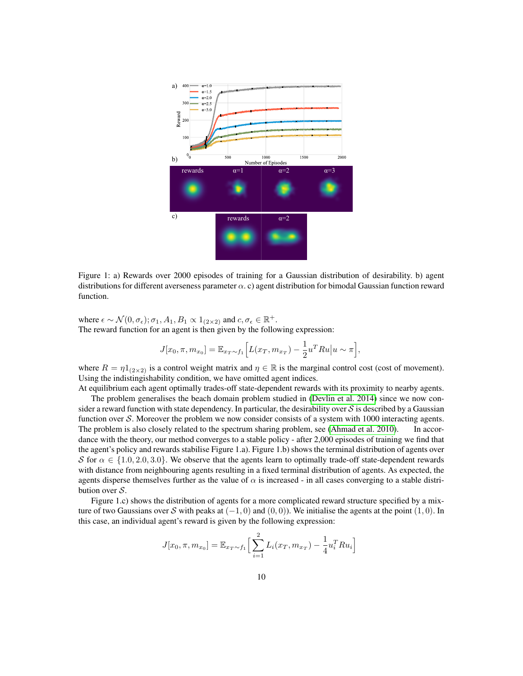

Figure 1: a) Rewards over 2000 episodes of training for a Gaussian distribution of desirability. b) agent distributions for different averseness parameter  $\alpha$ . c) agent distribution for bimodal Gaussian function reward function.

where  $\epsilon \sim \mathcal{N}(0, \sigma_{\epsilon}); \sigma_1, A_1, B_1 \propto 1_{(2 \times 2)}$  and  $c, \sigma_{\epsilon} \in \mathbb{R}^+$ . The reward function for an agent is then given by the following expression:

$$
J[x_0, \pi, m_{x_0}] = \mathbb{E}_{x_T \sim f_1} \Big[ L(x_T, m_{x_T}) - \frac{1}{2} u^T R u \Big| u \sim \pi \Big],
$$

where  $R = \eta 1_{(2\times 2)}$  is a control weight matrix and  $\eta \in \mathbb{R}$  is the marginal control cost (cost of movement). Using the indistingishability condition, we have omitted agent indices.

At equilibrium each agent optimally trades-off state-dependent rewards with its proximity to nearby agents. The problem generalises the beach domain problem studied in [\(Devlin et al. 2014\)](#page-12-10) since we now consider a reward function with state dependency. In particular, the desirability over  $S$  is described by a Gaussian function over S. Moreover the problem we now consider consists of a system with  $1000$  interacting agents. The problem is also closely related to the spectrum sharing problem, see [\(Ahmad et al. 2010\)](#page-12-5). In accordance with the theory, our method converges to a stable policy - after 2,000 episodes of training we find that the agent's policy and rewards stabilise Figure 1.a). Figure 1.b) shows the terminal distribution of agents over S for  $\alpha \in \{1.0, 2.0, 3.0\}$ . We observe that the agents learn to optimally trade-off state-dependent rewards with distance from neighbouring agents resulting in a fixed terminal distribution of agents. As expected, the agents disperse themselves further as the value of  $\alpha$  is increased - in all cases converging to a stable distribution over  $S$ .

Figure 1.c) shows the distribution of agents for a more complicated reward structure specified by a mixture of two Gaussians over S with peaks at  $(-1, 0)$  and  $(0, 0)$ ). We initialise the agents at the point  $(1, 0)$ . In this case, an individual agent's reward is given by the following expression:

$$
J[x_0, \pi, m_{x_0}] = \mathbb{E}_{x_T \sim f_1} \Big[ \sum_{i=1}^2 L_i(x_T, m_{x_T}) - \frac{1}{4} u_i^T R u_i \Big]
$$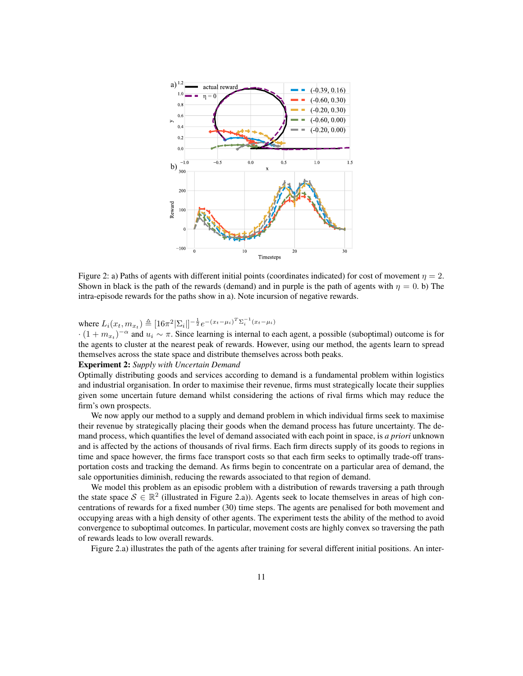

Figure 2: a) Paths of agents with different initial points (coordinates indicated) for cost of movement  $\eta = 2$ . Shown in black is the path of the rewards (demand) and in purple is the path of agents with  $\eta = 0$ . b) The intra-episode rewards for the paths show in a). Note incursion of negative rewards.

where  $L_i(x_t, m_{x_t}) \triangleq [16\pi^2 |\Sigma_i|]^{-\frac{1}{2}} e^{-(x_t-\mu_i)^T \Sigma_i^{-1} (x_t-\mu_i)}$ 

 $\cdot (1 + m_{x_t})^{-\alpha}$  and  $u_i \sim \pi$ . Since learning is internal to each agent, a possible (suboptimal) outcome is for the agents to cluster at the nearest peak of rewards. However, using our method, the agents learn to spread themselves across the state space and distribute themselves across both peaks.

### Experiment 2: *Supply with Uncertain Demand*

Optimally distributing goods and services according to demand is a fundamental problem within logistics and industrial organisation. In order to maximise their revenue, firms must strategically locate their supplies given some uncertain future demand whilst considering the actions of rival firms which may reduce the firm's own prospects.

We now apply our method to a supply and demand problem in which individual firms seek to maximise their revenue by strategically placing their goods when the demand process has future uncertainty. The demand process, which quantifies the level of demand associated with each point in space, is *a priori* unknown and is affected by the actions of thousands of rival firms. Each firm directs supply of its goods to regions in time and space however, the firms face transport costs so that each firm seeks to optimally trade-off transportation costs and tracking the demand. As firms begin to concentrate on a particular area of demand, the sale opportunities diminish, reducing the rewards associated to that region of demand.

We model this problem as an episodic problem with a distribution of rewards traversing a path through the state space  $S \in \mathbb{R}^2$  (illustrated in Figure 2.a)). Agents seek to locate themselves in areas of high concentrations of rewards for a fixed number (30) time steps. The agents are penalised for both movement and occupying areas with a high density of other agents. The experiment tests the ability of the method to avoid convergence to suboptimal outcomes. In particular, movement costs are highly convex so traversing the path of rewards leads to low overall rewards.

Figure 2.a) illustrates the path of the agents after training for several different initial positions. An inter-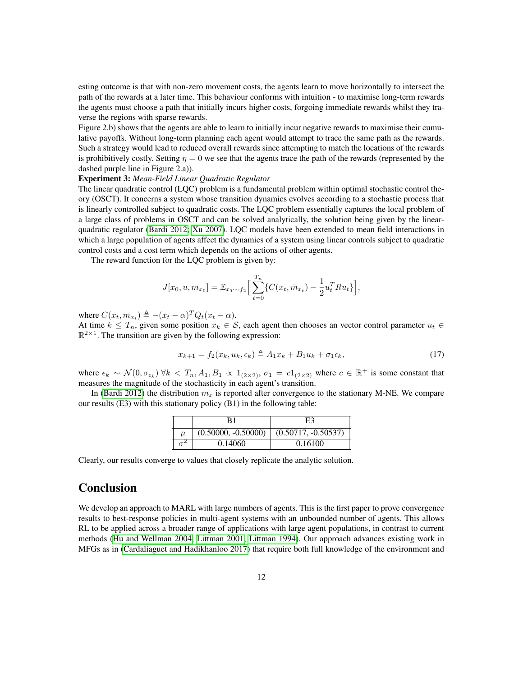esting outcome is that with non-zero movement costs, the agents learn to move horizontally to intersect the path of the rewards at a later time. This behaviour conforms with intuition - to maximise long-term rewards the agents must choose a path that initially incurs higher costs, forgoing immediate rewards whilst they traverse the regions with sparse rewards.

Figure 2.b) shows that the agents are able to learn to initially incur negative rewards to maximise their cumulative payoffs. Without long-term planning each agent would attempt to trace the same path as the rewards. Such a strategy would lead to reduced overall rewards since attempting to match the locations of the rewards is prohibitively costly. Setting  $\eta = 0$  we see that the agents trace the path of the rewards (represented by the dashed purple line in Figure 2.a)).

#### Experiment 3: *Mean-Field Linear Quadratic Regulator*

The linear quadratic control (LQC) problem is a fundamental problem within optimal stochastic control theory (OSCT). It concerns a system whose transition dynamics evolves according to a stochastic process that is linearly controlled subject to quadratic costs. The LQC problem essentially captures the local problem of a large class of problems in OSCT and can be solved analytically, the solution being given by the linearquadratic regulator [\(Bardi 2012;](#page-12-11) [Xu 2007\)](#page-13-8). LQC models have been extended to mean field interactions in which a large population of agents affect the dynamics of a system using linear controls subject to quadratic control costs and a cost term which depends on the actions of other agents.

The reward function for the LQC problem is given by:

$$
J[x_0, u, m_{x_0}] = \mathbb{E}_{x_T \sim f_2} \Big[ \sum_{t=0}^{T_n} \{ C(x_t, \bar{m}_{x_t}) - \frac{1}{2} u_t^T R u_t \} \Big],
$$

where  $C(x_t, m_{x_t}) \triangleq -(x_t - \alpha)^T Q_t(x_t - \alpha)$ .

At time  $k \leq T_n$ , given some position  $x_k \in S$ , each agent then chooses an vector control parameter  $u_t \in S$  $\mathbb{R}^{2\times 1}$ . The transition are given by the following expression:

$$
x_{k+1} = f_2(x_k, u_k, \epsilon_k) \triangleq A_1 x_k + B_1 u_k + \sigma_1 \epsilon_k, \tag{17}
$$

where  $\epsilon_k \sim \mathcal{N}(0, \sigma_{\epsilon_k}) \ \forall k \ < T_n, A_1, B_1 \propto 1_{(2 \times 2)}, \ \sigma_1 = c_1_{(2 \times 2)}$  where  $c \in \mathbb{R}^+$  is some constant that measures the magnitude of the stochasticity in each agent's transition.

In [\(Bardi 2012\)](#page-12-11) the distribution  $m_x$  is reported after convergence to the stationary M-NE. We compare our results (E3) with this stationary policy (B1) in the following table:

| $(0.50000, -0.50000)$ | $(0.50717, -0.50537)$ |
|-----------------------|-----------------------|
| 0.14060               | 0.16100               |

Clearly, our results converge to values that closely replicate the analytic solution.

## Conclusion

We develop an approach to MARL with large numbers of agents. This is the first paper to prove convergence results to best-response policies in multi-agent systems with an unbounded number of agents. This allows RL to be applied across a broader range of applications with large agent populations, in contrast to current methods [\(Hu and Wellman 2004;](#page-12-0) [Littman 2001;](#page-13-2) [Littman 1994\)](#page-13-3). Our approach advances existing work in MFGs as in [\(Cardaliaguet and Hadikhanloo 2017\)](#page-12-2) that require both full knowledge of the environment and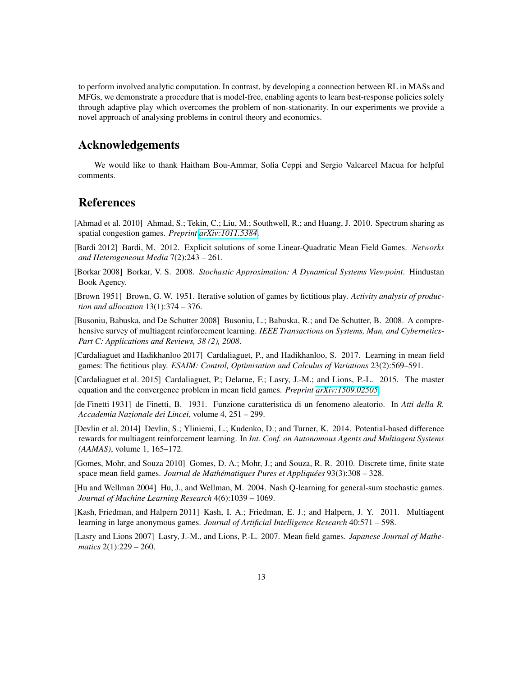to perform involved analytic computation. In contrast, by developing a connection between RL in MASs and MFGs, we demonstrate a procedure that is model-free, enabling agents to learn best-response policies solely through adaptive play which overcomes the problem of non-stationarity. In our experiments we provide a novel approach of analysing problems in control theory and economics.

# Acknowledgements

We would like to thank Haitham Bou-Ammar, Sofia Ceppi and Sergio Valcarcel Macua for helpful comments.

# References

- <span id="page-12-5"></span>[Ahmad et al. 2010] Ahmad, S.; Tekin, C.; Liu, M.; Southwell, R.; and Huang, J. 2010. Spectrum sharing as spatial congestion games. *Preprint [arXiv:1011.5384](http://arxiv.org/abs/1011.5384)*.
- <span id="page-12-11"></span>[Bardi 2012] Bardi, M. 2012. Explicit solutions of some Linear-Quadratic Mean Field Games. *Networks and Heterogeneous Media* 7(2):243 – 261.
- <span id="page-12-12"></span>[Borkar 2008] Borkar, V. S. 2008. *Stochastic Approximation: A Dynamical Systems Viewpoint*. Hindustan Book Agency.
- <span id="page-12-3"></span>[Brown 1951] Brown, G. W. 1951. Iterative solution of games by fictitious play. *Activity analysis of production and allocation* 13(1):374 – 376.
- <span id="page-12-1"></span>[Busoniu, Babuska, and De Schutter 2008] Busoniu, L.; Babuska, R.; and De Schutter, B. 2008. A comprehensive survey of multiagent reinforcement learning. *IEEE Transactions on Systems, Man, and Cybernetics-Part C: Applications and Reviews, 38 (2), 2008*.
- <span id="page-12-2"></span>[Cardaliaguet and Hadikhanloo 2017] Cardaliaguet, P., and Hadikhanloo, S. 2017. Learning in mean field games: The fictitious play. *ESAIM: Control, Optimisation and Calculus of Variations* 23(2):569–591.
- <span id="page-12-8"></span>[Cardaliaguet et al. 2015] Cardaliaguet, P.; Delarue, F.; Lasry, J.-M.; and Lions, P.-L. 2015. The master equation and the convergence problem in mean field games. *Preprint [arXiv:1509.02505](http://arxiv.org/abs/1509.02505)*.
- <span id="page-12-6"></span>[de Finetti 1931] de Finetti, B. 1931. Funzione caratteristica di un fenomeno aleatorio. In *Atti della R. Accademia Nazionale dei Lincei*, volume 4, 251 – 299.
- <span id="page-12-10"></span>[Devlin et al. 2014] Devlin, S.; Yliniemi, L.; Kudenko, D.; and Turner, K. 2014. Potential-based difference rewards for multiagent reinforcement learning. In *Int. Conf. on Autonomous Agents and Multiagent Systems (AAMAS)*, volume 1, 165–172.
- <span id="page-12-7"></span>[Gomes, Mohr, and Souza 2010] Gomes, D. A.; Mohr, J.; and Souza, R. R. 2010. Discrete time, finite state space mean field games. *Journal de Mathématiques Pures et Appliquées* 93(3):308 – 328.
- <span id="page-12-0"></span>[Hu and Wellman 2004] Hu, J., and Wellman, M. 2004. Nash Q-learning for general-sum stochastic games. *Journal of Machine Learning Research* 4(6):1039 – 1069.
- <span id="page-12-9"></span>[Kash, Friedman, and Halpern 2011] Kash, I. A.; Friedman, E. J.; and Halpern, J. Y. 2011. Multiagent learning in large anonymous games. *Journal of Artificial Intelligence Research* 40:571 – 598.
- <span id="page-12-4"></span>[Lasry and Lions 2007] Lasry, J.-M., and Lions, P.-L. 2007. Mean field games. *Japanese Journal of Mathematics* 2(1):229 – 260.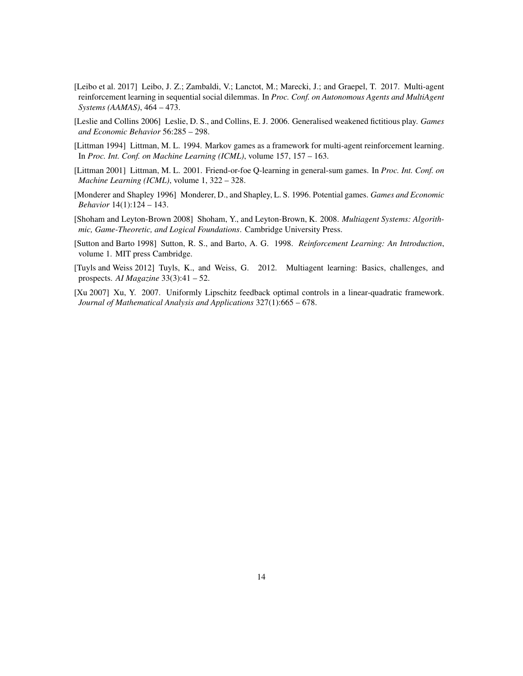- <span id="page-13-1"></span>[Leibo et al. 2017] Leibo, J. Z.; Zambaldi, V.; Lanctot, M.; Marecki, J.; and Graepel, T. 2017. Multi-agent reinforcement learning in sequential social dilemmas. In *Proc. Conf. on Autonomous Agents and MultiAgent Systems (AAMAS)*, 464 – 473.
- <span id="page-13-5"></span>[Leslie and Collins 2006] Leslie, D. S., and Collins, E. J. 2006. Generalised weakened fictitious play. *Games and Economic Behavior* 56:285 – 298.
- <span id="page-13-3"></span>[Littman 1994] Littman, M. L. 1994. Markov games as a framework for multi-agent reinforcement learning. In *Proc. Int. Conf. on Machine Learning (ICML)*, volume 157, 157 – 163.
- <span id="page-13-2"></span>[Littman 2001] Littman, M. L. 2001. Friend-or-foe Q-learning in general-sum games. In *Proc. Int. Conf. on Machine Learning (ICML)*, volume 1, 322 – 328.
- <span id="page-13-7"></span>[Monderer and Shapley 1996] Monderer, D., and Shapley, L. S. 1996. Potential games. *Games and Economic Behavior* 14(1):124 – 143.
- <span id="page-13-0"></span>[Shoham and Leyton-Brown 2008] Shoham, Y., and Leyton-Brown, K. 2008. *Multiagent Systems: Algorithmic, Game-Theoretic, and Logical Foundations*. Cambridge University Press.
- <span id="page-13-6"></span>[Sutton and Barto 1998] Sutton, R. S., and Barto, A. G. 1998. *Reinforcement Learning: An Introduction*, volume 1. MIT press Cambridge.
- <span id="page-13-4"></span>[Tuyls and Weiss 2012] Tuyls, K., and Weiss, G. 2012. Multiagent learning: Basics, challenges, and prospects. *AI Magazine* 33(3):41 – 52.
- <span id="page-13-8"></span>[Xu 2007] Xu, Y. 2007. Uniformly Lipschitz feedback optimal controls in a linear-quadratic framework. *Journal of Mathematical Analysis and Applications* 327(1):665 – 678.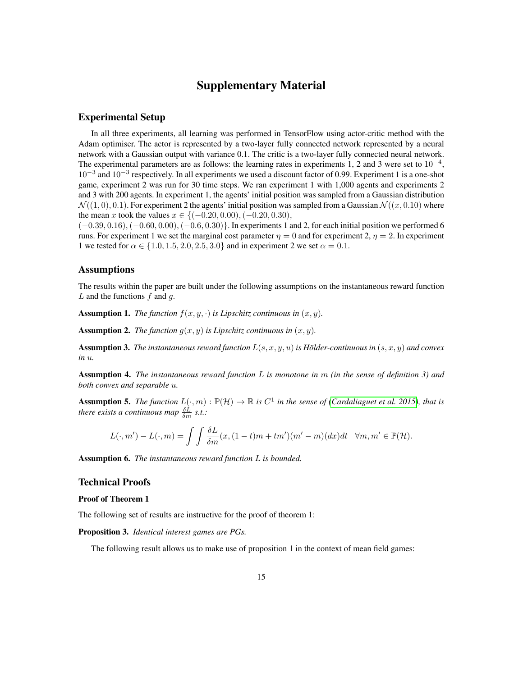# Supplementary Material

### Experimental Setup

In all three experiments, all learning was performed in TensorFlow using actor-critic method with the Adam optimiser. The actor is represented by a two-layer fully connected network represented by a neural network with a Gaussian output with variance 0.1. The critic is a two-layer fully connected neural network. The experimental parameters are as follows: the learning rates in experiments 1, 2 and 3 were set to  $10^{-4}$ , 10<sup>-3</sup> and 10<sup>-3</sup> respectively. In all experiments we used a discount factor of 0.99. Experiment 1 is a one-shot game, experiment 2 was run for 30 time steps. We ran experiment 1 with 1,000 agents and experiments 2 and 3 with 200 agents. In experiment 1, the agents' initial position was sampled from a Gaussian distribution  $\mathcal{N}((1,0), 0.1)$ . For experiment 2 the agents' initial position was sampled from a Gaussian  $\mathcal{N}((x, 0.10)$  where the mean x took the values  $x \in \{(-0.20, 0.00), (-0.20, 0.30),$ 

(−0.39, 0.16),(−0.60, 0.00),(−0.6, 0.30)}. In experiments 1 and 2, for each initial position we performed 6 runs. For experiment 1 we set the marginal cost parameter  $\eta = 0$  and for experiment 2,  $\eta = 2$ . In experiment 1 we tested for  $\alpha \in \{1.0, 1.5, 2.0, 2.5, 3.0\}$  and in experiment 2 we set  $\alpha = 0.1$ .

### Assumptions

The results within the paper are built under the following assumptions on the instantaneous reward function  $L$  and the functions  $f$  and  $g$ .

**Assumption 1.** *The function*  $f(x, y, \cdot)$  *is Lipschitz continuous in*  $(x, y)$ *.* 

**Assumption 2.** *The function*  $g(x, y)$  *is Lipschitz continuous in*  $(x, y)$ *.* 

Assumption 3. *The instantaneous reward function*  $L(s, x, y, u)$  *is Hölder-continuous in*  $(s, x, y)$  *and convex in* u*.*

Assumption 4. *The instantaneous reward function* L *is monotone in* m *(in the sense of definition 3) and both convex and separable* u*.*

**Assumption 5.** The function  $L(\cdot,m): \mathbb{P}(\mathcal{H}) \to \mathbb{R}$  is  $C^1$  in the sense of [\(Cardaliaguet et al. 2015\)](#page-12-8), that is *there exists a continuous map*  $\frac{\delta L}{\delta m}$  *s.t.:* 

$$
L(\cdot,m') - L(\cdot,m) = \int \int \frac{\delta L}{\delta m}(x,(1-t)m + tm')(m'-m)(dx)dt \quad \forall m,m' \in \mathbb{P}(\mathcal{H}).
$$

Assumption 6. *The instantaneous reward function* L *is bounded.*

### Technical Proofs

#### Proof of Theorem 1

The following set of results are instructive for the proof of theorem 1:

Proposition 3. *Identical interest games are PGs.*

The following result allows us to make use of proposition 1 in the context of mean field games: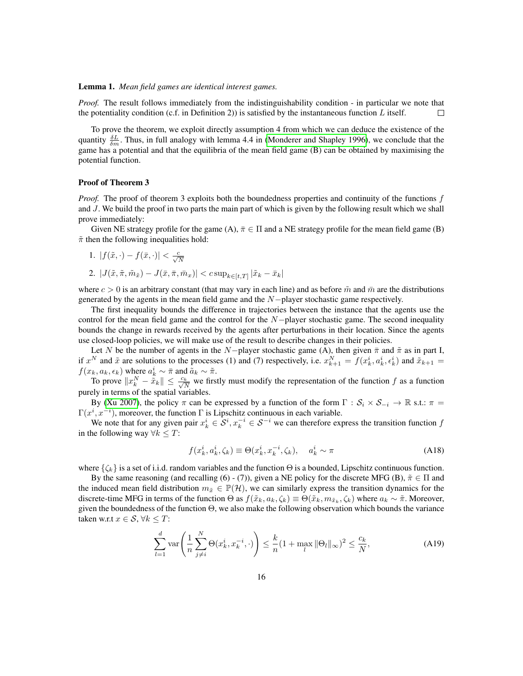### Lemma 1. *Mean field games are identical interest games.*

*Proof.* The result follows immediately from the indistinguishability condition - in particular we note that the potentiality condition (c.f. in Definition 2)) is satisfied by the instantaneous function  $L$  itself.  $\Box$ 

To prove the theorem, we exploit directly assumption 4 from which we can deduce the existence of the quantity  $\frac{\delta L}{\delta m}$ . Thus, in full analogy with lemma 4.4 in [\(Monderer and Shapley 1996\)](#page-13-7), we conclude that the game has a potential and that the equilibria of the mean field game (B) can be obtained by maximising the potential function.

#### Proof of Theorem 3

*Proof.* The proof of theorem 3 exploits both the boundedness properties and continuity of the functions f and J. We build the proof in two parts the main part of which is given by the following result which we shall prove immediately:

Given NE strategy profile for the game (A),  $\bar{\pi} \in \Pi$  and a NE strategy profile for the mean field game (B)  $\tilde{\pi}$  then the following inequalities hold:

1. 
$$
|f(\tilde{x},\cdot)-f(\bar{x},\cdot)|<\frac{c}{\sqrt{N}}
$$

2. 
$$
|J(\tilde{x}, \tilde{\pi}, \tilde{m}_{\tilde{x}}) - J(\bar{x}, \bar{\pi}, \bar{m}_x)| < c \sup_{k \in [t, T]} |\tilde{x}_k - \bar{x}_k|
$$

where  $c > 0$  is an arbitrary constant (that may vary in each line) and as before  $\tilde{m}$  and  $\bar{m}$  are the distributions generated by the agents in the mean field game and the N−player stochastic game respectively.

The first inequality bounds the difference in trajectories between the instance that the agents use the control for the mean field game and the control for the  $N-p$ layer stochastic game. The second inequality bounds the change in rewards received by the agents after perturbations in their location. Since the agents use closed-loop policies, we will make use of the result to describe changes in their policies.

Let N be the number of agents in the N−player stochastic game (A), then given  $\bar{\pi}$  and  $\tilde{\pi}$  as in part I, if  $x^N$  and  $\tilde{x}$  are solutions to the processes (1) and (7) respectively, i.e.  $x_{k+1}^N = f(x_k^i, a_k^i, \epsilon_k^i)$  and  $\tilde{x}_{k+1} =$  $f(x_k, a_k, \epsilon_k)$  where  $a_k^i \sim \bar{\pi}$  and  $\tilde{a}_k \sim \tilde{\pi}$ .

To prove  $||x_k^N - \tilde{x}_k|| \le \frac{c_k}{\sqrt{N}}$  we firstly must modify the representation of the function f as a function purely in terms of the spatial variables.

By [\(Xu 2007\)](#page-13-8), the policy  $\pi$  can be expressed by a function of the form  $\Gamma : S_i \times S_{-i} \to \mathbb{R}$  s.t.:  $\pi =$  $\Gamma(x^i, x^{-i})$ , moreover, the function  $\Gamma$  is Lipschitz continuous in each variable.

We note that for any given pair  $x_k^i \in S^i$ ,  $x_k^{-i} \in S^{-i}$  we can therefore express the transition function function in the following way  $\forall k \leq T$ :

<span id="page-15-1"></span><span id="page-15-0"></span>
$$
f(x_k^i, a_k^i, \zeta_k) \equiv \Theta(x_k^i, x_k^{-i}, \zeta_k), \quad a_k^i \sim \pi \tag{A18}
$$

where  $\{\zeta_k\}$  is a set of i.i.d. random variables and the function  $\Theta$  is a bounded, Lipschitz continuous function.

By the same reasoning (and recalling (6) - (7)), given a NE policy for the discrete MFG (B),  $\tilde{\pi} \in \Pi$  and the induced mean field distribution  $m_{\tilde{x}} \in \mathbb{P}(\mathcal{H})$ , we can similarly express the transition dynamics for the discrete-time MFG in terms of the function  $\Theta$  as  $f(\tilde{x}_k, a_k, \zeta_k) \equiv \Theta(\tilde{x}_k, m_{\tilde{x}_k}, \zeta_k)$  where  $a_k \sim \tilde{\pi}$ . Moreover, given the boundedness of the function  $\Theta$ , we also make the following observation which bounds the variance taken w.r.t  $x \in \mathcal{S}, \forall k \leq T$ :

$$
\sum_{l=1}^{d} \operatorname{var}\left(\frac{1}{n}\sum_{j\neq i}^{N} \Theta(x_k^i, x_k^{-i}, \cdot)\right) \leq \frac{k}{n} (1 + \max_{l} \|\Theta_l\|_{\infty})^2 \leq \frac{c_k}{N},\tag{A19}
$$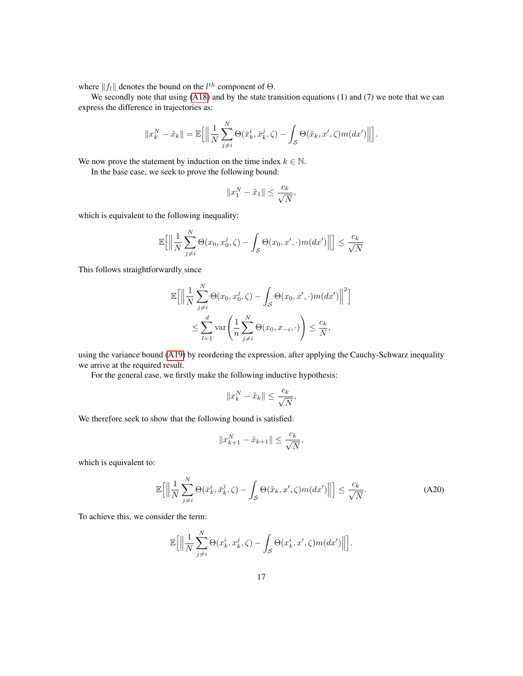where  $||f_l||$  denotes the bound on the  $l^{th}$  component of  $\Theta$ .

We secondly note that using [\(A18\)](#page-15-0) and by the state transition equations (1) and (7) we note that we can express the difference in trajectories as:

$$
||x_k^N - \tilde{x}_k|| = \mathbb{E}\Big[\Big\|\frac{1}{N}\sum_{j\neq i}^N \Theta(\bar{x}_k^i, \bar{x}_k^j, \zeta) - \int_{\mathcal{S}} \Theta(\tilde{x}_k, x', \zeta) m(dx')\Big\|\Big].
$$

We now prove the statement by induction on the time index  $k \in \mathbb{N}$ .

In the base case, we seek to prove the following bound:

$$
||x_1^N - \tilde{x}_1|| \le \frac{c_k}{\sqrt{N}},
$$

which is equivalent to the following inequality:

$$
\mathbb{E}\Big[\Big\|\frac{1}{N}\sum_{j\neq i}^{N}\Theta(x_0,x_0^j,\zeta)-\int_{\mathcal{S}}\Theta(x_0,x',\cdot)m(dx')\Big\|\Big]\leq \frac{c_k}{\sqrt{N}}
$$

This follows straightforwardly since

$$
\mathbb{E}\Big[\Big\|\frac{1}{N}\sum_{j\neq i}^{N}\Theta(x_0, x_0^j, \zeta) - \int_{\mathcal{S}}\Theta(x_0, x', \cdot) m(dx')\Big\|^2\Big] \leq \sum_{l=1}^{d} \text{var}\Bigg(\frac{1}{n}\sum_{j\neq i}^{N}\Theta(x_0, x_{-i}, \cdot)\Bigg) \leq \frac{c_k}{N},
$$

using the variance bound [\(A19\)](#page-15-1) by reordering the expression, after applying the Cauchy-Schwarz inequality we arrive at the required result.

For the general case, we firstly make the following inductive hypothesis:

$$
||x_k^N - \tilde{x}_k|| \le \frac{c_k}{\sqrt{N}},
$$

We therefore seek to show that the following bound is satisfied:

<span id="page-16-0"></span>
$$
||x_{k+1}^N - \tilde{x}_{k+1}|| \le \frac{c_k}{\sqrt{N}},
$$

which is equivalent to:

$$
\mathbb{E}\Big[\Big\|\frac{1}{N}\sum_{j\neq i}^{N}\Theta(\bar{x}_{k}^{i},\bar{x}_{k}^{j},\zeta)-\int_{\mathcal{S}}\Theta(\tilde{x}_{k},x',\zeta)m(dx')\Big\|\Big]\leq\frac{c_{k}}{\sqrt{N}}.\tag{A20}
$$

To achieve this, we consider the term:

$$
\mathbb{E}\Big[\Big\|\frac{1}{N}\sum_{j\neq i}^N \Theta(x_k^i, x_k^j, \zeta) - \int_{\mathcal{S}} \Theta(x_k^i, x', \zeta) m(dx')\Big\|\Big].
$$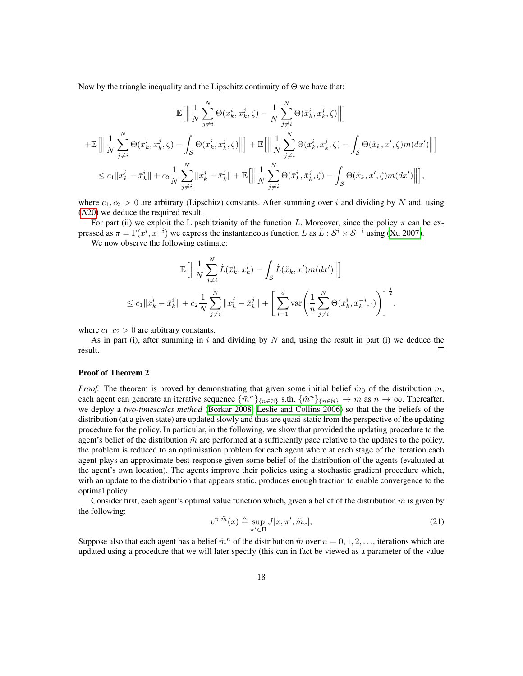Now by the triangle inequality and the Lipschitz continuity of  $\Theta$  we have that:

$$
\mathbb{E}\Big[\Big\|\frac{1}{N}\sum_{j\neq i}^{N}\Theta(x_k^i, x_k^j, \zeta) - \frac{1}{N}\sum_{j\neq i}^{N}\Theta(\bar{x}_k^i, x_k^j, \zeta)\Big\|\Big] \n+ \mathbb{E}\Big[\Big\|\frac{1}{N}\sum_{j\neq i}^{N}\Theta(\bar{x}_k^i, x_k^j, \zeta) - \int_{\mathcal{S}}\Theta(\bar{x}_k^i, \bar{x}_k^j, \zeta)\Big\|\Big] + \mathbb{E}\Big[\Big\|\frac{1}{N}\sum_{j\neq i}^{N}\Theta(\bar{x}_k^i, \bar{x}_k^j, \zeta) - \int_{\mathcal{S}}\Theta(\tilde{x}_k, x', \zeta)m(dx')\Big\|\Big] \n\leq c_1\|x_k^i - \bar{x}_k^i\| + c_2\frac{1}{N}\sum_{j\neq i}^{N}\|x_k^j - \bar{x}_k^j\| + \mathbb{E}\Big[\Big\|\frac{1}{N}\sum_{j\neq i}^{N}\Theta(\bar{x}_k^i, \bar{x}_k^j, \zeta) - \int_{\mathcal{S}}\Theta(\tilde{x}_k, x', \zeta)m(dx')\Big\|\Big],
$$

where  $c_1, c_2 > 0$  are arbitrary (Lipschitz) constants. After summing over i and dividing by N and, using [\(A20\)](#page-16-0) we deduce the required result.

For part (ii) we exploit the Lipschitzianity of the function L. Moreover, since the policy  $\pi$  can be expressed as  $\pi = \Gamma(x^i, x^{-i})$  we express the instantaneous function L as  $\hat{L}: \mathcal{S}^i \times \mathcal{S}^{-i}$  using [\(Xu 2007\)](#page-13-8).

We now observe the following estimate:

$$
\mathbb{E}\Big[\Big\|\frac{1}{N}\sum_{j\neq i}^{N}\hat{L}(\bar{x}_{k}^{i},x_{k}^{i}) - \int_{\mathcal{S}}\hat{L}(\tilde{x}_{k},x')m(dx')\Big\|\Big]
$$
  

$$
\leq c_{1}\|x_{k}^{i} - \bar{x}_{k}^{i}\| + c_{2}\frac{1}{N}\sum_{j\neq i}^{N}\|x_{k}^{j} - \bar{x}_{k}^{j}\| + \left[\sum_{l=1}^{d}\text{var}\left(\frac{1}{n}\sum_{j\neq i}^{N}\Theta(x_{k}^{i},x_{k}^{-i},\cdot)\right)\right]^{\frac{1}{2}}.
$$

where  $c_1, c_2 > 0$  are arbitrary constants.

As in part (i), after summing in i and dividing by N and, using the result in part (i) we deduce the result.  $\Box$ 

#### Proof of Theorem 2

*Proof.* The theorem is proved by demonstrating that given some initial belief  $\tilde{m}_0$  of the distribution m, each agent can generate an iterative sequence  $\{\tilde{m}^n\}_{\{n\in\mathbb{N}\}}$  s.th.  $\{\tilde{m}^n\}_{\{n\in\mathbb{N}\}} \to m$  as  $n \to \infty$ . Thereafter, we deploy a *two-timescales method* [\(Borkar 2008;](#page-12-12) [Leslie and Collins 2006\)](#page-13-5) so that the the beliefs of the distribution (at a given state) are updated slowly and thus are quasi-static from the perspective of the updating procedure for the policy. In particular, in the following, we show that provided the updating procedure to the agent's belief of the distribution  $\tilde{m}$  are performed at a sufficiently pace relative to the updates to the policy, the problem is reduced to an optimisation problem for each agent where at each stage of the iteration each agent plays an approximate best-response given some belief of the distribution of the agents (evaluated at the agent's own location). The agents improve their policies using a stochastic gradient procedure which, with an update to the distribution that appears static, produces enough traction to enable convergence to the optimal policy.

Consider first, each agent's optimal value function which, given a belief of the distribution  $\tilde{m}$  is given by the following:

<span id="page-17-0"></span>
$$
v^{\pi,\tilde{m}}(x) \triangleq \sup_{\pi' \in \Pi} J[x, \pi', \tilde{m}_x],\tag{21}
$$

Suppose also that each agent has a belief  $\tilde{m}^n$  of the distribution  $\tilde{m}$  over  $n = 0, 1, 2, \ldots$ , iterations which are updated using a procedure that we will later specify (this can in fact be viewed as a parameter of the value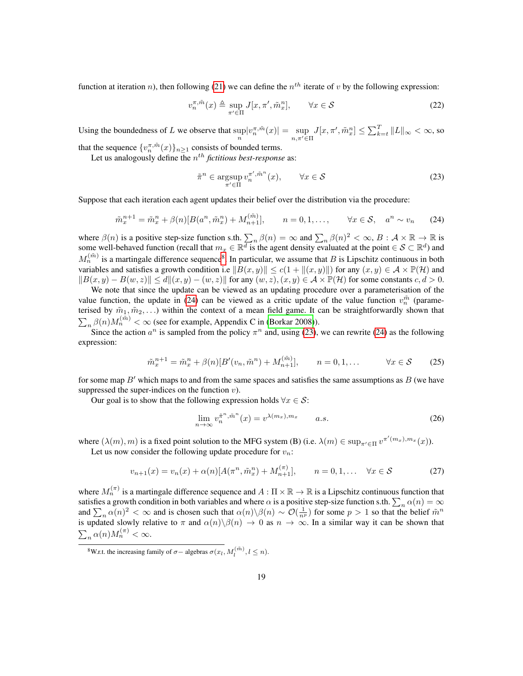function at iteration *n*), then following [\(21\)](#page-17-0) we can define the  $n<sup>th</sup>$  iterate of *v* by the following expression:

$$
v_n^{\pi, \tilde{m}}(x) \triangleq \sup_{\pi' \in \Pi} J[x, \pi', \tilde{m}_x^n], \qquad \forall x \in \mathcal{S}
$$
 (22)

Using the boundedness of L we observe that  $\sup_n |v_n^{\pi, \tilde{m}}(x)| = \sup_{n, \pi' \in \Pi} J[x, \pi', \tilde{m}^n_x] \le \sum_{k=t}^T \|L\|_{\infty} < \infty$ , so

that the sequence  $\{v_n^{\pi,\tilde{m}}(x)\}_{n\geq 1}$  consists of bounded terms.

Let us analogously define the  $n^{th}$  *fictitious best-response* as:

<span id="page-18-2"></span><span id="page-18-1"></span>
$$
\tilde{\pi}^n \in \underset{\pi' \in \Pi}{\text{argsup}} \, v_n^{\pi', \tilde{m}^n}(x), \qquad \forall x \in \mathcal{S}
$$
\n
$$
(23)
$$

Suppose that each iteration each agent updates their belief over the distribution via the procedure:

$$
\tilde{m}_x^{n+1} = \tilde{m}_x^n + \beta(n)[B(a^n, \tilde{m}_x^n) + M_{n+1}^{(\tilde{m})}], \qquad n = 0, 1, ..., \qquad \forall x \in \mathcal{S}, \quad a^n \sim v_n \tag{24}
$$

where  $\beta(n)$  is a positive step-size function s.th.  $\sum_n \beta(n) = \infty$  and  $\sum_n \beta(n)^2 < \infty$ ,  $B : \mathcal{A} \times \mathbb{R} \to \mathbb{R}$  is some well-behaved function (recall that  $m_x \in \mathbb{R}^d$  is the agent density evaluated at the point  $\in \mathcal{S} \subset \mathbb{R}^d$ ) and  $M_n^{(\tilde{m})}$  is a martingale difference sequence<sup>[8](#page-18-0)</sup>. In particular, we assume that B is Lipschitz continuous in both variables and satisfies a growth condition i.e  $||B(x, y)|| \le c(1 + ||(x, y)||)$  for any  $(x, y) \in \mathcal{A} \times \mathbb{P}(\mathcal{H})$  and  $||B(x, y) - B(w, z)|| \le d||x, y) - (w, z)||$  for any  $(w, z), (x, y) \in \mathcal{A} \times \mathbb{P}(\mathcal{H})$  for some constants  $c, d > 0$ .

We note that since the update can be viewed as an updating procedure over a parameterisation of the value function, the update in [\(24\)](#page-18-1) can be viewed as a critic update of the value function  $v_n^{\tilde{m}}$  (parameterised by  $\tilde{m}_1, \tilde{m}_2, \ldots$ ) within the context of a mean field game. It can be straightforwardly shown that  $\sum_{n} \beta(n) M_n^{(\tilde{m})} < \infty$  (see for example, Appendix C in [\(Borkar 2008\)](#page-12-12)).

Since the action  $a^n$  is sampled from the policy  $\pi^n$  and, using [\(23\)](#page-18-2), we can rewrite [\(24\)](#page-18-1) as the following expression:

$$
\tilde{m}_x^{n+1} = \tilde{m}_x^n + \beta(n)[B'(v_n, \tilde{m}^n) + M_{n+1}^{(\tilde{m})}], \qquad n = 0, 1, ... \qquad \forall x \in S \tag{25}
$$

for some map  $B'$  which maps to and from the same spaces and satisfies the same assumptions as  $B$  (we have suppressed the super-indices on the function  $v$ ).

Our goal is to show that the following expression holds  $\forall x \in S$ :

$$
\lim_{n \to \infty} v_n^{\tilde{\pi}^n, \tilde{m}^n}(x) = v^{\lambda(m_x), m_x} \qquad a.s.
$$
\n(26)

where  $(\lambda(m), m)$  is a fixed point solution to the MFG system (B) (i.e.  $\lambda(m) \in \sup_{\pi' \in \Pi} v^{\pi'(m_x), m_x}(x)$ ).

Let us now consider the following update procedure for  $v_n$ :

$$
v_{n+1}(x) = v_n(x) + \alpha(n)[A(\pi^n, \tilde{m}_x^n) + M_{n+1}^{(\pi)}], \qquad n = 0, 1, \dots \quad \forall x \in S
$$
 (27)

where  $M_n^{(\pi)}$  is a martingale difference sequence and  $A:\Pi\times\mathbb{R}\to\mathbb{R}$  is a Lipschitz continuous function that satisfies a growth condition in both variables and where  $\alpha$  is a positive step-size function s.th.  $\sum_n \alpha(n) = \infty$ and  $\sum_n \alpha(n)^2 < \infty$  and is chosen such that  $\alpha(n) \setminus \beta(n) \sim \mathcal{O}(\frac{1}{n^p})$  for some  $p > 1$  so that the belief  $\tilde{m}^n$ is updated slowly relative to  $\pi$  and  $\alpha(n)\setminus\beta(n) \to 0$  as  $n \to \infty$ . In a similar way it can be shown that  $\sum_n \alpha(n) M_n^{(\pi)} < \infty.$ 

<span id="page-18-0"></span><sup>&</sup>lt;sup>8</sup>W.r.t. the increasing family of  $\sigma$  – algebras  $\sigma(x_l, M_l^{(\tilde{m})}, l \leq n)$ .